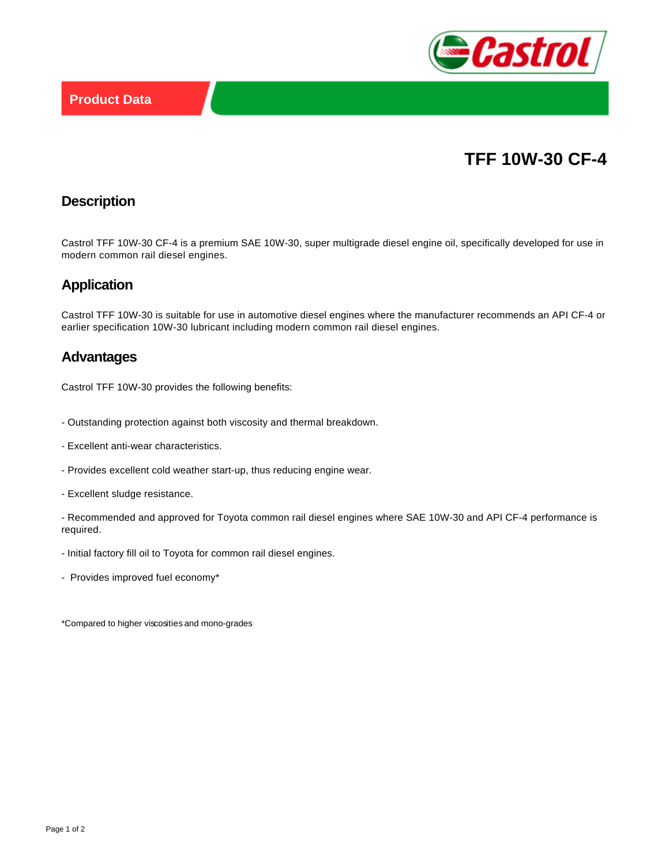

# **TFF 10W-30 CF-4**

## **Description**

Castrol TFF 10W-30 CF-4 is a premium SAE 10W-30, super multigrade diesel engine oil, specifically developed for use in modern common rail diesel engines.

#### **Application**

Castrol TFF 10W-30 is suitable for use in automotive diesel engines where the manufacturer recommends an API CF-4 or earlier specification 10W-30 lubricant including modern common rail diesel engines.

#### **Advantages**

Castrol TFF 10W-30 provides the following benefits:

- Outstanding protection against both viscosity and thermal breakdown.
- Excellent anti-wear characteristics.
- Provides excellent cold weather start-up, thus reducing engine wear.
- Excellent sludge resistance.

- Recommended and approved for Toyota common rail diesel engines where SAE 10W-30 and API CF-4 performance is required.

- Initial factory fill oil to Toyota for common rail diesel engines.
- Provides improved fuel economy\*

\*Compared to higher viscosities and mono-grades